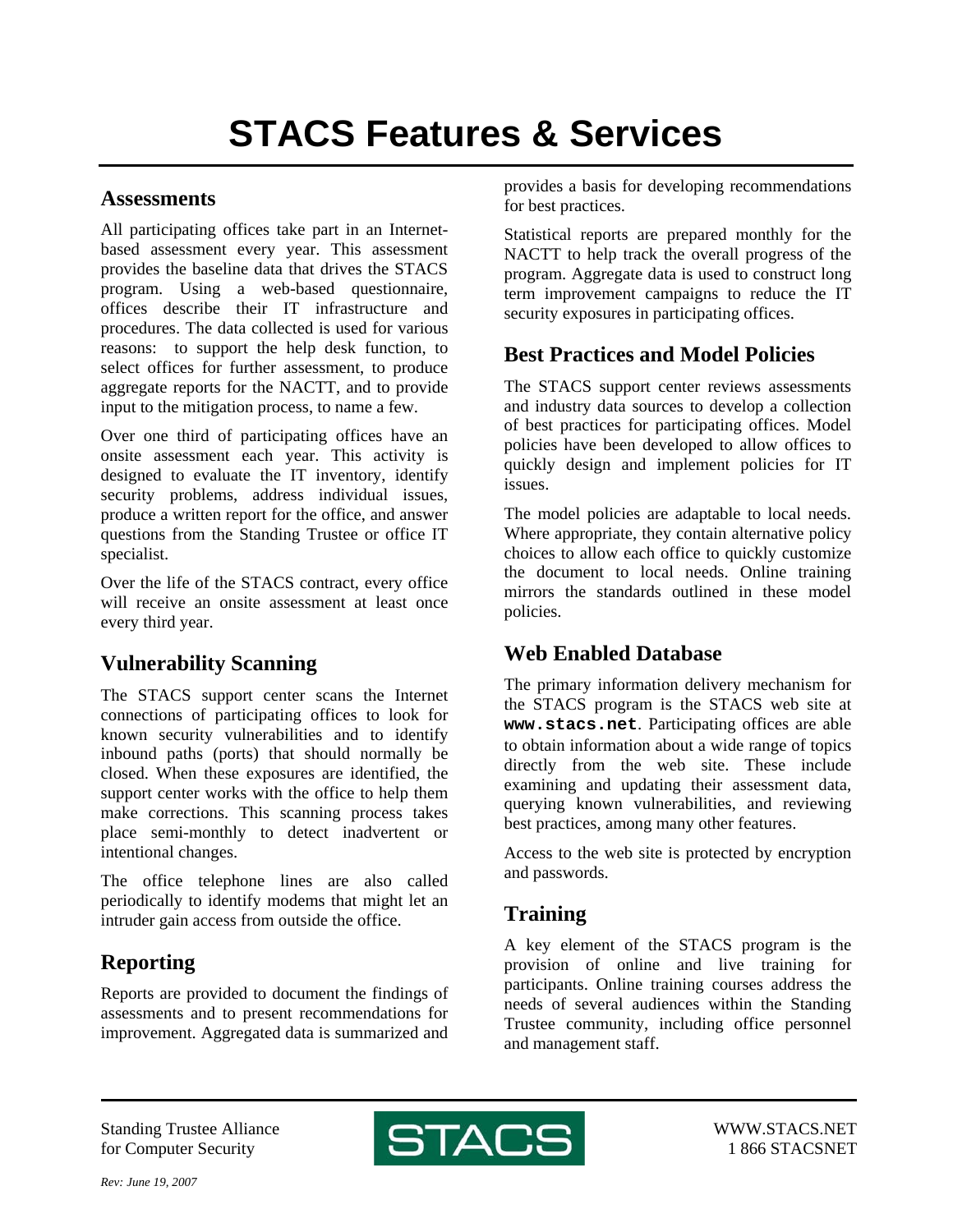#### **Assessments**

All participating offices take part in an Internetbased assessment every year. This assessment provides the baseline data that drives the STACS program. Using a web-based questionnaire, offices describe their IT infrastructure and procedures. The data collected is used for various reasons: to support the help desk function, to select offices for further assessment, to produce aggregate reports for the NACTT, and to provide input to the mitigation process, to name a few.

Over one third of participating offices have an onsite assessment each year. This activity is designed to evaluate the IT inventory, identify security problems, address individual issues, produce a written report for the office, and answer questions from the Standing Trustee or office IT specialist.

Over the life of the STACS contract, every office will receive an onsite assessment at least once every third year.

## **Vulnerability Scanning**

The STACS support center scans the Internet connections of participating offices to look for known security vulnerabilities and to identify inbound paths (ports) that should normally be closed. When these exposures are identified, the support center works with the office to help them make corrections. This scanning process takes place semi-monthly to detect inadvertent or intentional changes.

The office telephone lines are also called periodically to identify modems that might let an intruder gain access from outside the office.

# **Reporting**

Reports are provided to document the findings of assessments and to present recommendations for improvement. Aggregated data is summarized and

provides a basis for developing recommendations for best practices.

Statistical reports are prepared monthly for the NACTT to help track the overall progress of the program. Aggregate data is used to construct long term improvement campaigns to reduce the IT security exposures in participating offices.

## **Best Practices and Model Policies**

The STACS support center reviews assessments and industry data sources to develop a collection of best practices for participating offices. Model policies have been developed to allow offices to quickly design and implement policies for IT issues.

The model policies are adaptable to local needs. Where appropriate, they contain alternative policy choices to allow each office to quickly customize the document to local needs. Online training mirrors the standards outlined in these model policies.

## **Web Enabled Database**

The primary information delivery mechanism for the STACS program is the STACS web site at **www.stacs.net**. Participating offices are able to obtain information about a wide range of topics directly from the web site. These include examining and updating their assessment data, querying known vulnerabilities, and reviewing best practices, among many other features.

Access to the web site is protected by encryption and passwords.

# **Training**

A key element of the STACS program is the provision of online and live training for participants. Online training courses address the needs of several audiences within the Standing Trustee community, including office personnel and management staff.

Standing Trustee Alliance for Computer Security